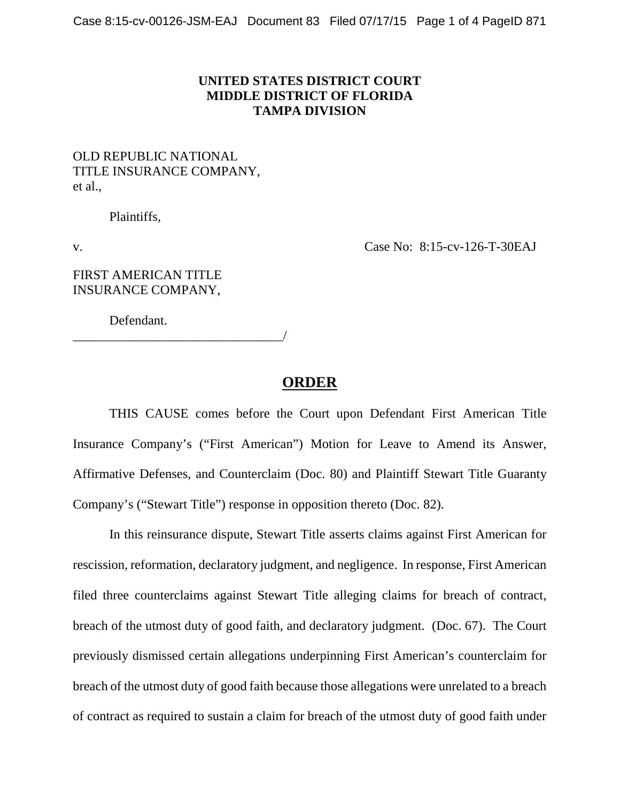## **UNITED STATES DISTRICT COURT MIDDLE DISTRICT OF FLORIDA TAMPA DIVISION**

## OLD REPUBLIC NATIONAL TITLE INSURANCE COMPANY, et al.,

Plaintiffs,

v. Case No: 8:15-cv-126-T-30EAJ

FIRST AMERICAN TITLE INSURANCE COMPANY,

Defendant.

\_\_\_\_\_\_\_\_\_\_\_\_\_\_\_\_\_\_\_\_\_\_\_\_\_\_\_\_\_\_\_\_/

## **ORDER**

THIS CAUSE comes before the Court upon Defendant First American Title Insurance Company's ("First American") Motion for Leave to Amend its Answer, Affirmative Defenses, and Counterclaim (Doc. 80) and Plaintiff Stewart Title Guaranty Company's ("Stewart Title") response in opposition thereto (Doc. 82).

In this reinsurance dispute, Stewart Title asserts claims against First American for rescission, reformation, declaratory judgment, and negligence. In response, First American filed three counterclaims against Stewart Title alleging claims for breach of contract, breach of the utmost duty of good faith, and declaratory judgment. (Doc. 67). The Court previously dismissed certain allegations underpinning First American's counterclaim for breach of the utmost duty of good faith because those allegations were unrelated to a breach of contract as required to sustain a claim for breach of the utmost duty of good faith under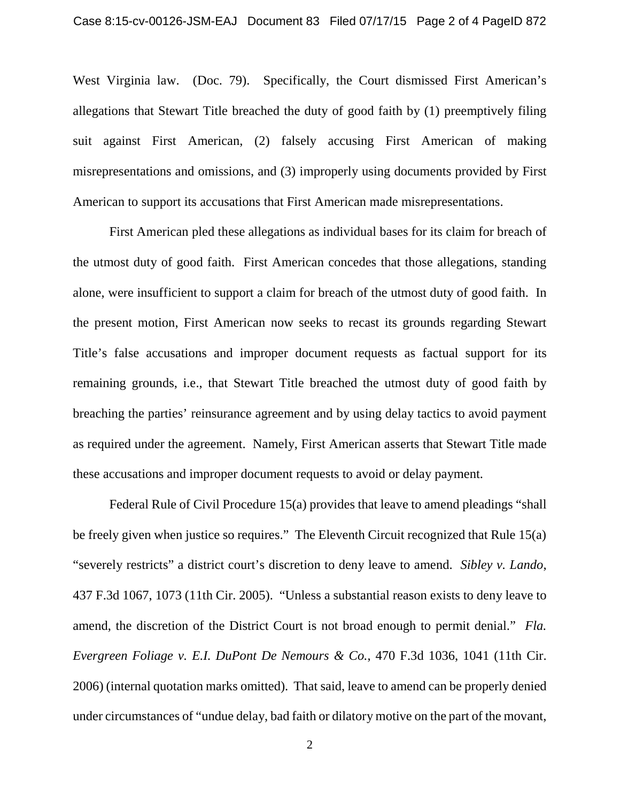West Virginia law. (Doc. 79). Specifically, the Court dismissed First American's allegations that Stewart Title breached the duty of good faith by (1) preemptively filing suit against First American, (2) falsely accusing First American of making misrepresentations and omissions, and (3) improperly using documents provided by First American to support its accusations that First American made misrepresentations.

First American pled these allegations as individual bases for its claim for breach of the utmost duty of good faith. First American concedes that those allegations, standing alone, were insufficient to support a claim for breach of the utmost duty of good faith. In the present motion, First American now seeks to recast its grounds regarding Stewart Title's false accusations and improper document requests as factual support for its remaining grounds, i.e., that Stewart Title breached the utmost duty of good faith by breaching the parties' reinsurance agreement and by using delay tactics to avoid payment as required under the agreement. Namely, First American asserts that Stewart Title made these accusations and improper document requests to avoid or delay payment.

Federal Rule of Civil Procedure 15(a) provides that leave to amend pleadings "shall be freely given when justice so requires." The Eleventh Circuit recognized that Rule 15(a) "severely restricts" a district court's discretion to deny leave to amend. *Sibley v. Lando*, 437 F.3d 1067, 1073 (11th Cir. 2005). "Unless a substantial reason exists to deny leave to amend, the discretion of the District Court is not broad enough to permit denial." *Fla. Evergreen Foliage v. E.I. DuPont De Nemours & Co.*, 470 F.3d 1036, 1041 (11th Cir. 2006) (internal quotation marks omitted). That said, leave to amend can be properly denied under circumstances of "undue delay, bad faith or dilatory motive on the part of the movant,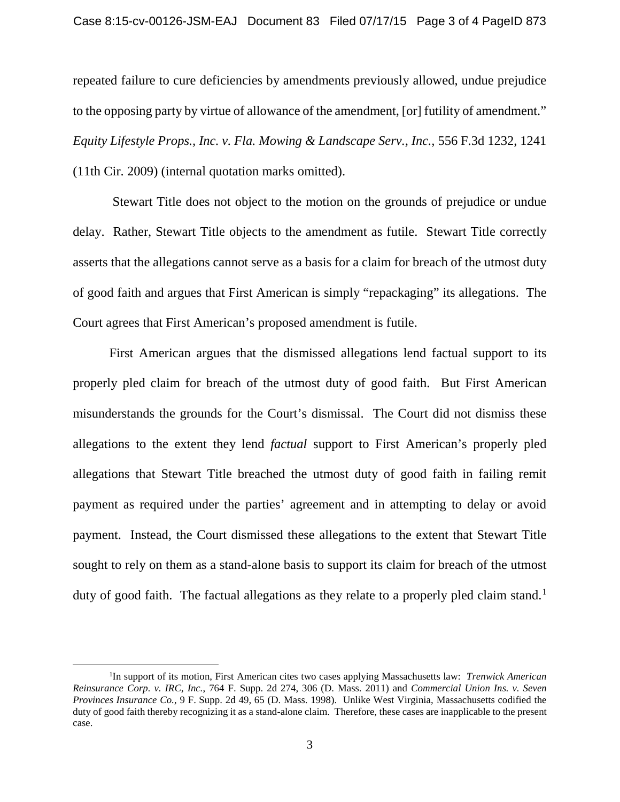repeated failure to cure deficiencies by amendments previously allowed, undue prejudice to the opposing party by virtue of allowance of the amendment, [or] futility of amendment." *Equity Lifestyle Props., Inc. v. Fla. Mowing & Landscape Serv., Inc.,* 556 F.3d 1232, 1241 (11th Cir. 2009) (internal quotation marks omitted).

Stewart Title does not object to the motion on the grounds of prejudice or undue delay. Rather, Stewart Title objects to the amendment as futile. Stewart Title correctly asserts that the allegations cannot serve as a basis for a claim for breach of the utmost duty of good faith and argues that First American is simply "repackaging" its allegations. The Court agrees that First American's proposed amendment is futile.

First American argues that the dismissed allegations lend factual support to its properly pled claim for breach of the utmost duty of good faith. But First American misunderstands the grounds for the Court's dismissal. The Court did not dismiss these allegations to the extent they lend *factual* support to First American's properly pled allegations that Stewart Title breached the utmost duty of good faith in failing remit payment as required under the parties' agreement and in attempting to delay or avoid payment. Instead, the Court dismissed these allegations to the extent that Stewart Title sought to rely on them as a stand-alone basis to support its claim for breach of the utmost duty of good faith. The factual allegations as they relate to a properly pled claim stand.<sup>[1](#page-2-0)</sup>

<span id="page-2-0"></span><sup>&</sup>lt;sup>1</sup>In support of its motion, First American cites two cases applying Massachusetts law: *Trenwick American Reinsurance Corp. v. IRC, Inc.*, 764 F. Supp. 2d 274, 306 (D. Mass. 2011) and *Commercial Union Ins. v. Seven Provinces Insurance Co.*, 9 F. Supp. 2d 49, 65 (D. Mass. 1998). Unlike West Virginia, Massachusetts codified the duty of good faith thereby recognizing it as a stand-alone claim. Therefore, these cases are inapplicable to the present case.  $\overline{a}$